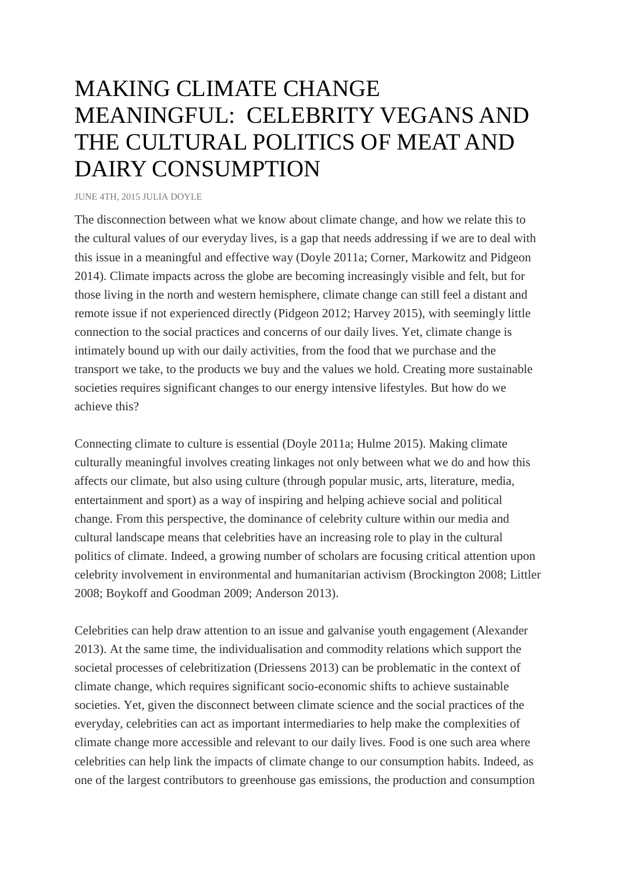## MAKING CLIMATE CHANGE MEANINGFUL: CELEBRITY VEGANS AND THE CULTURAL POLITICS OF MEAT AND DAIRY CONSUMPTION

[JUNE](http://www.hcs.harvard.edu/~res/2015/06/making-climate-change-meaningful-celebrity-vegans-and-the-cultural-politics-of-meat-and-dairy-consumption/) 4TH, 2015 JULIA [DOYLE](http://www.hcs.harvard.edu/~res/author/danieljd/)

The disconnection between what we know about climate change, and how we relate this to the cultural values of our everyday lives, is a gap that needs addressing if we are to deal with this issue in a meaningful and effective way (Doyle 2011a; Corner, Markowitz and Pidgeon 2014). Climate impacts across the globe are becoming increasingly visible and felt, but for those living in the north and western hemisphere, climate change can still feel a distant and remote issue if not experienced directly (Pidgeon 2012; Harvey 2015), with seemingly little connection to the social practices and concerns of our daily lives. Yet, climate change is intimately bound up with our daily activities, from the food that we purchase and the transport we take, to the products we buy and the values we hold. Creating more sustainable societies requires significant changes to our energy intensive lifestyles. But how do we achieve this?

Connecting climate to culture is essential (Doyle 2011a; Hulme 2015). Making climate culturally meaningful involves creating linkages not only between what we do and how this affects our climate, but also using culture (through popular music, arts, literature, media, entertainment and sport) as a way of inspiring and helping achieve social and political change. From this perspective, the dominance of celebrity culture within our media and cultural landscape means that celebrities have an increasing role to play in the cultural politics of climate. Indeed, a growing number of scholars are focusing critical attention upon celebrity involvement in environmental and humanitarian activism (Brockington 2008; Littler 2008; Boykoff and Goodman 2009; Anderson 2013).

Celebrities can help draw attention to an issue and galvanise youth engagement (Alexander 2013). At the same time, the individualisation and commodity relations which support the societal processes of celebritization (Driessens 2013) can be problematic in the context of climate change, which requires significant socio-economic shifts to achieve sustainable societies. Yet, given the disconnect between climate science and the social practices of the everyday, celebrities can act as important intermediaries to help make the complexities of climate change more accessible and relevant to our daily lives. Food is one such area where celebrities can help link the impacts of climate change to our consumption habits. Indeed, as one of the largest contributors to greenhouse gas emissions, the production and consumption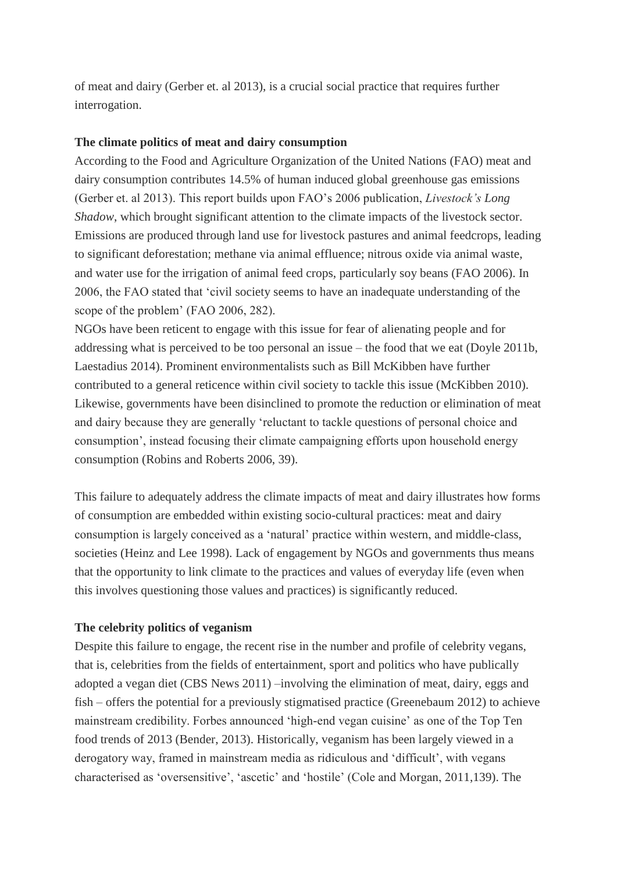of meat and dairy (Gerber et. al 2013), is a crucial social practice that requires further interrogation.

## **The climate politics of meat and dairy consumption**

According to the Food and Agriculture Organization of the United Nations (FAO) meat and dairy consumption contributes 14.5% of human induced global greenhouse gas emissions (Gerber et. al 2013). This report builds upon FAO's 2006 publication, *Livestock's Long Shadow*, which brought significant attention to the climate impacts of the livestock sector. Emissions are produced through land use for livestock pastures and animal feedcrops, leading to significant deforestation; methane via animal effluence; nitrous oxide via animal waste, and water use for the irrigation of animal feed crops, particularly soy beans (FAO 2006). In 2006, the FAO stated that 'civil society seems to have an inadequate understanding of the scope of the problem' (FAO 2006, 282).

NGOs have been reticent to engage with this issue for fear of alienating people and for addressing what is perceived to be too personal an issue – the food that we eat (Doyle 2011b, Laestadius 2014). Prominent environmentalists such as Bill McKibben have further contributed to a general reticence within civil society to tackle this issue (McKibben 2010). Likewise, governments have been disinclined to promote the reduction or elimination of meat and dairy because they are generally 'reluctant to tackle questions of personal choice and consumption', instead focusing their climate campaigning efforts upon household energy consumption (Robins and Roberts 2006, 39).

This failure to adequately address the climate impacts of meat and dairy illustrates how forms of consumption are embedded within existing socio-cultural practices: meat and dairy consumption is largely conceived as a 'natural' practice within western, and middle-class, societies (Heinz and Lee 1998). Lack of engagement by NGOs and governments thus means that the opportunity to link climate to the practices and values of everyday life (even when this involves questioning those values and practices) is significantly reduced.

## **The celebrity politics of veganism**

Despite this failure to engage, the recent rise in the number and profile of celebrity vegans, that is, celebrities from the fields of entertainment, sport and politics who have publically adopted a vegan diet (CBS News 2011) –involving the elimination of meat, dairy, eggs and fish – offers the potential for a previously stigmatised practice (Greenebaum 2012) to achieve mainstream credibility. Forbes announced 'high-end vegan cuisine' as one of the Top Ten food trends of 2013 (Bender, 2013). Historically, veganism has been largely viewed in a derogatory way, framed in mainstream media as ridiculous and 'difficult', with vegans characterised as 'oversensitive', 'ascetic' and 'hostile' (Cole and Morgan, 2011,139). The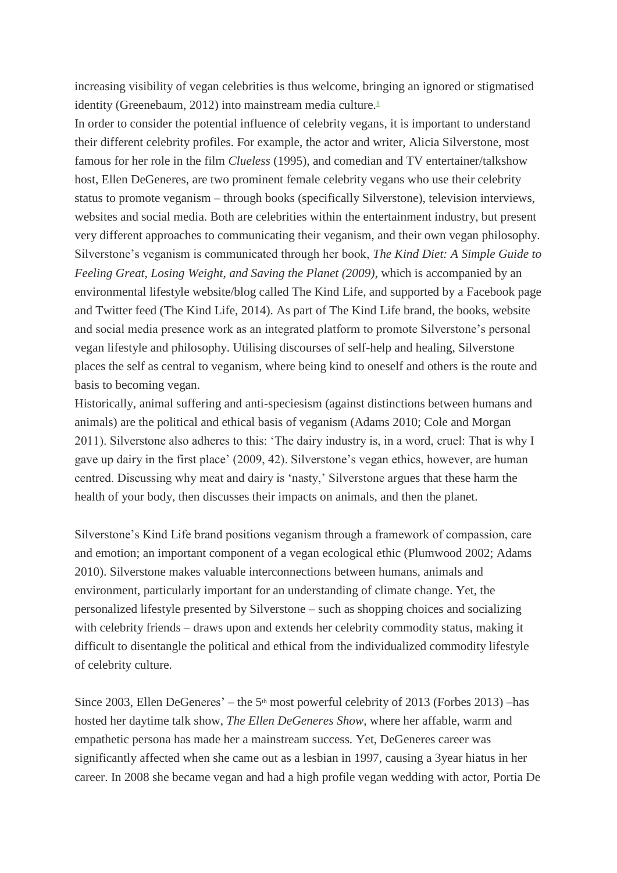increasing visibility of vegan celebrities is thus welcome, bringing an ignored or stigmatised identity (Greenebaum, 2012) into mainstream media culture[.](http://www.hcs.harvard.edu/~res/2015/06/making-climate-change-meaningful-celebrity-vegans-and-the-cultural-politics-of-meat-and-dairy-consumption/#_edn1)<sup>1</sup>

In order to consider the potential influence of celebrity vegans, it is important to understand their different celebrity profiles. For example, the actor and writer, Alicia Silverstone, most famous for her role in the film *Clueless* (1995), and comedian and TV entertainer/talkshow host, Ellen DeGeneres, are two prominent female celebrity vegans who use their celebrity status to promote veganism – through books (specifically Silverstone), television interviews, websites and social media. Both are celebrities within the entertainment industry, but present very different approaches to communicating their veganism, and their own vegan philosophy. Silverstone's veganism is communicated through her book, *The Kind Diet: A Simple Guide to Feeling Great, Losing Weight, and Saving the Planet (2009),* which is accompanied by an environmental lifestyle website/blog called The Kind Life, and supported by a Facebook page and Twitter feed (The Kind Life, 2014). As part of The Kind Life brand, the books, website and social media presence work as an integrated platform to promote Silverstone's personal vegan lifestyle and philosophy. Utilising discourses of self-help and healing, Silverstone places the self as central to veganism, where being kind to oneself and others is the route and basis to becoming vegan.

Historically, animal suffering and anti-speciesism (against distinctions between humans and animals) are the political and ethical basis of veganism (Adams 2010; Cole and Morgan 2011). Silverstone also adheres to this: 'The dairy industry is, in a word, cruel: That is why I gave up dairy in the first place' (2009, 42). Silverstone's vegan ethics, however, are human centred. Discussing why meat and dairy is 'nasty,' Silverstone argues that these harm the health of your body, then discusses their impacts on animals, and then the planet.

Silverstone's Kind Life brand positions veganism through a framework of compassion, care and emotion; an important component of a vegan ecological ethic (Plumwood 2002; Adams 2010). Silverstone makes valuable interconnections between humans, animals and environment, particularly important for an understanding of climate change. Yet, the personalized lifestyle presented by Silverstone – such as shopping choices and socializing with celebrity friends – draws upon and extends her celebrity commodity status, making it difficult to disentangle the political and ethical from the individualized commodity lifestyle of celebrity culture.

Since 2003, Ellen DeGeneres' – the 5<sup>th</sup> most powerful celebrity of 2013 (Forbes 2013) –has hosted her daytime talk show, *The Ellen DeGeneres Show,* where her affable, warm and empathetic persona has made her a mainstream success*.* Yet, DeGeneres career was significantly affected when she came out as a lesbian in 1997, causing a 3year hiatus in her career. In 2008 she became vegan and had a high profile vegan wedding with actor, Portia De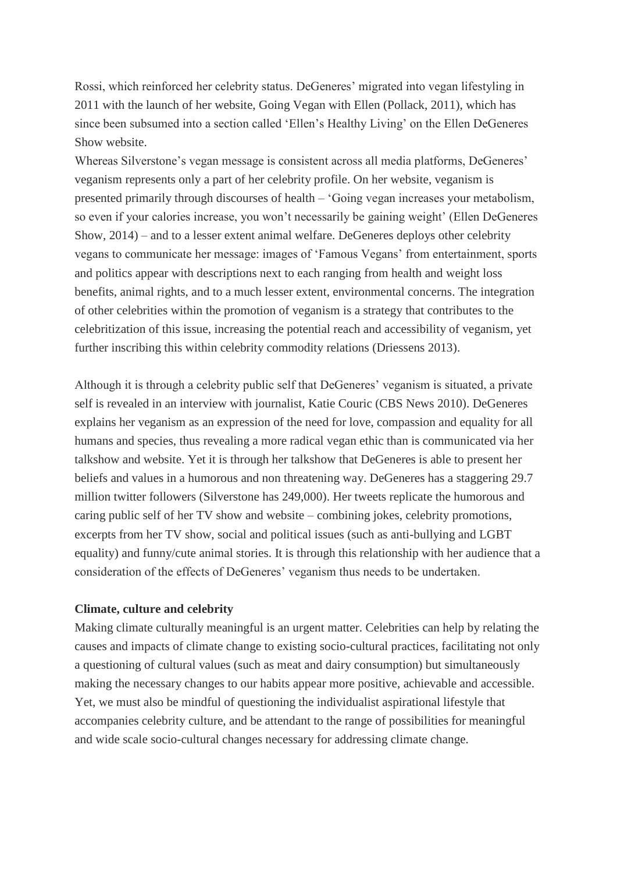Rossi, which reinforced her celebrity status. DeGeneres' migrated into vegan lifestyling in 2011 with the launch of her website, Going Vegan with Ellen (Pollack, 2011), which has since been subsumed into a section called 'Ellen's Healthy Living' on the Ellen DeGeneres Show website.

Whereas Silverstone's vegan message is consistent across all media platforms, DeGeneres' veganism represents only a part of her celebrity profile. On her website, veganism is presented primarily through discourses of health – 'Going vegan increases your metabolism, so even if your calories increase, you won't necessarily be gaining weight' (Ellen DeGeneres Show, 2014) – and to a lesser extent animal welfare. DeGeneres deploys other celebrity vegans to communicate her message: images of 'Famous Vegans' from entertainment, sports and politics appear with descriptions next to each ranging from health and weight loss benefits, animal rights, and to a much lesser extent, environmental concerns. The integration of other celebrities within the promotion of veganism is a strategy that contributes to the celebritization of this issue, increasing the potential reach and accessibility of veganism, yet further inscribing this within celebrity commodity relations (Driessens 2013).

Although it is through a celebrity public self that DeGeneres' veganism is situated, a private self is revealed in an interview with journalist, Katie Couric (CBS News 2010). DeGeneres explains her veganism as an expression of the need for love, compassion and equality for all humans and species, thus revealing a more radical vegan ethic than is communicated via her talkshow and website. Yet it is through her talkshow that DeGeneres is able to present her beliefs and values in a humorous and non threatening way. DeGeneres has a staggering 29.7 million twitter followers (Silverstone has 249,000). Her tweets replicate the humorous and caring public self of her TV show and website – combining jokes, celebrity promotions, excerpts from her TV show, social and political issues (such as anti-bullying and LGBT equality) and funny/cute animal stories. It is through this relationship with her audience that a consideration of the effects of DeGeneres' veganism thus needs to be undertaken.

## **Climate, culture and celebrity**

Making climate culturally meaningful is an urgent matter. Celebrities can help by relating the causes and impacts of climate change to existing socio-cultural practices, facilitating not only a questioning of cultural values (such as meat and dairy consumption) but simultaneously making the necessary changes to our habits appear more positive, achievable and accessible. Yet, we must also be mindful of questioning the individualist aspirational lifestyle that accompanies celebrity culture, and be attendant to the range of possibilities for meaningful and wide scale socio-cultural changes necessary for addressing climate change.